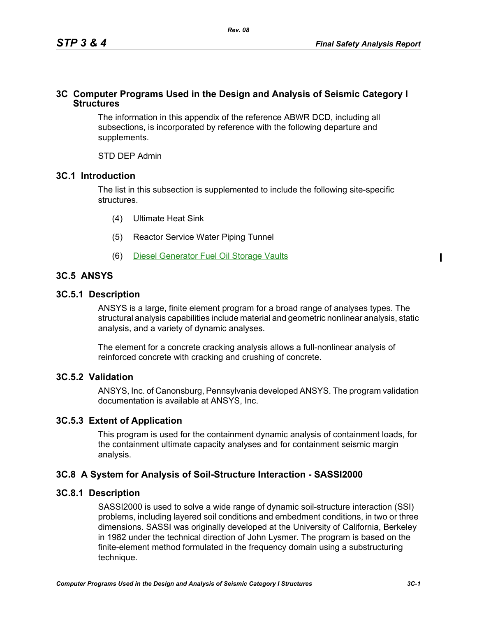### **3C Computer Programs Used in the Design and Analysis of Seismic Category I Structures**

The information in this appendix of the reference ABWR DCD, including all subsections, is incorporated by reference with the following departure and supplements.

STD DEP Admin

## **3C.1 Introduction**

The list in this subsection is supplemented to include the following site-specific structures.

- (4) Ultimate Heat Sink
- (5) Reactor Service Water Piping Tunnel
- (6) Diesel Generator Fuel Oil Storage Vaults

# **3C.5 ANSYS**

## **3C.5.1 Description**

ANSYS is a large, finite element program for a broad range of analyses types. The structural analysis capabilities include material and geometric nonlinear analysis, static analysis, and a variety of dynamic analyses.

The element for a concrete cracking analysis allows a full-nonlinear analysis of reinforced concrete with cracking and crushing of concrete.

## **3C.5.2 Validation**

ANSYS, Inc. of Canonsburg, Pennsylvania developed ANSYS. The program validation documentation is available at ANSYS, Inc.

## **3C.5.3 Extent of Application**

This program is used for the containment dynamic analysis of containment loads, for the containment ultimate capacity analyses and for containment seismic margin analysis.

## **3C.8 A System for Analysis of Soil-Structure Interaction - SASSI2000**

## **3C.8.1 Description**

SASSI2000 is used to solve a wide range of dynamic soil-structure interaction (SSI) problems, including layered soil conditions and embedment conditions, in two or three dimensions. SASSI was originally developed at the University of California, Berkeley in 1982 under the technical direction of John Lysmer. The program is based on the finite-element method formulated in the frequency domain using a substructuring technique.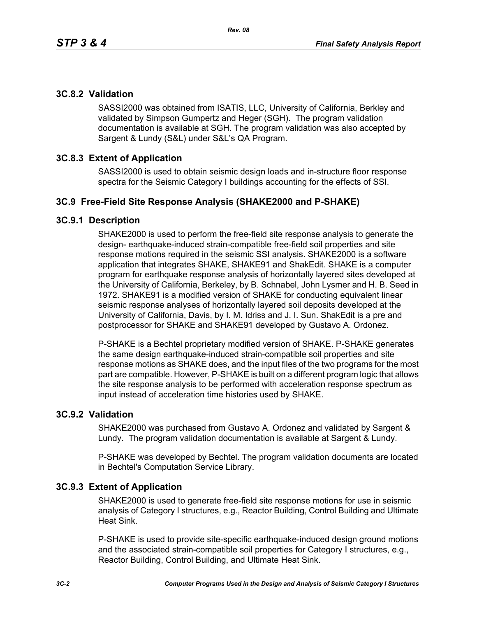# **3C.8.2 Validation**

SASSI2000 was obtained from ISATIS, LLC, University of California, Berkley and validated by Simpson Gumpertz and Heger (SGH). The program validation documentation is available at SGH. The program validation was also accepted by Sargent & Lundy (S&L) under S&L's QA Program.

## **3C.8.3 Extent of Application**

SASSI2000 is used to obtain seismic design loads and in-structure floor response spectra for the Seismic Category I buildings accounting for the effects of SSI.

## **3C.9 Free-Field Site Response Analysis (SHAKE2000 and P-SHAKE)**

#### **3C.9.1 Description**

SHAKE2000 is used to perform the free-field site response analysis to generate the design- earthquake-induced strain-compatible free-field soil properties and site response motions required in the seismic SSI analysis. SHAKE2000 is a software application that integrates SHAKE, SHAKE91 and ShakEdit. SHAKE is a computer program for earthquake response analysis of horizontally layered sites developed at the University of California, Berkeley, by B. Schnabel, John Lysmer and H. B. Seed in 1972. SHAKE91 is a modified version of SHAKE for conducting equivalent linear seismic response analyses of horizontally layered soil deposits developed at the University of California, Davis, by I. M. Idriss and J. I. Sun. ShakEdit is a pre and postprocessor for SHAKE and SHAKE91 developed by Gustavo A. Ordonez.

P-SHAKE is a Bechtel proprietary modified version of SHAKE. P-SHAKE generates the same design earthquake-induced strain-compatible soil properties and site response motions as SHAKE does, and the input files of the two programs for the most part are compatible. However, P-SHAKE is built on a different program logic that allows the site response analysis to be performed with acceleration response spectrum as input instead of acceleration time histories used by SHAKE.

#### **3C.9.2 Validation**

SHAKE2000 was purchased from Gustavo A. Ordonez and validated by Sargent & Lundy. The program validation documentation is available at Sargent & Lundy.

P-SHAKE was developed by Bechtel. The program validation documents are located in Bechtel's Computation Service Library.

#### **3C.9.3 Extent of Application**

SHAKE2000 is used to generate free-field site response motions for use in seismic analysis of Category I structures, e.g., Reactor Building, Control Building and Ultimate Heat Sink.

P-SHAKE is used to provide site-specific earthquake-induced design ground motions and the associated strain-compatible soil properties for Category I structures, e.g., Reactor Building, Control Building, and Ultimate Heat Sink.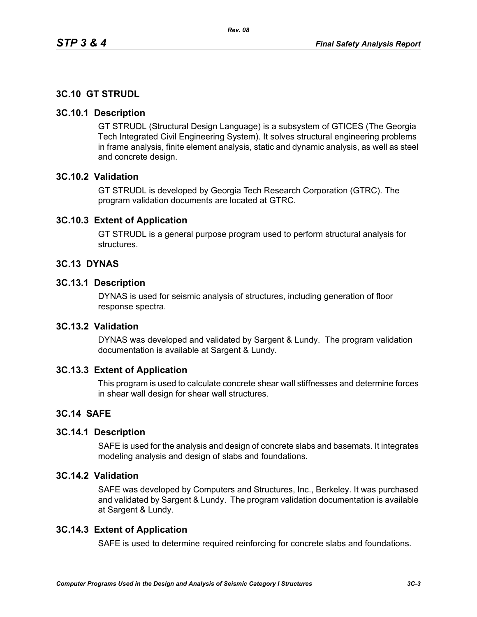# **3C.10 GT STRUDL**

#### **3C.10.1 Description**

GT STRUDL (Structural Design Language) is a subsystem of GTICES (The Georgia Tech Integrated Civil Engineering System). It solves structural engineering problems in frame analysis, finite element analysis, static and dynamic analysis, as well as steel and concrete design.

## **3C.10.2 Validation**

GT STRUDL is developed by Georgia Tech Research Corporation (GTRC). The program validation documents are located at GTRC.

### **3C.10.3 Extent of Application**

GT STRUDL is a general purpose program used to perform structural analysis for structures.

### **3C.13 DYNAS**

#### **3C.13.1 Description**

DYNAS is used for seismic analysis of structures, including generation of floor response spectra.

# **3C.13.2 Validation**

DYNAS was developed and validated by Sargent & Lundy. The program validation documentation is available at Sargent & Lundy.

#### **3C.13.3 Extent of Application**

This program is used to calculate concrete shear wall stiffnesses and determine forces in shear wall design for shear wall structures.

#### **3C.14 SAFE**

#### **3C.14.1 Description**

SAFE is used for the analysis and design of concrete slabs and basemats. It integrates modeling analysis and design of slabs and foundations.

## **3C.14.2 Validation**

SAFE was developed by Computers and Structures, Inc., Berkeley. It was purchased and validated by Sargent & Lundy. The program validation documentation is available at Sargent & Lundy.

#### **3C.14.3 Extent of Application**

SAFE is used to determine required reinforcing for concrete slabs and foundations.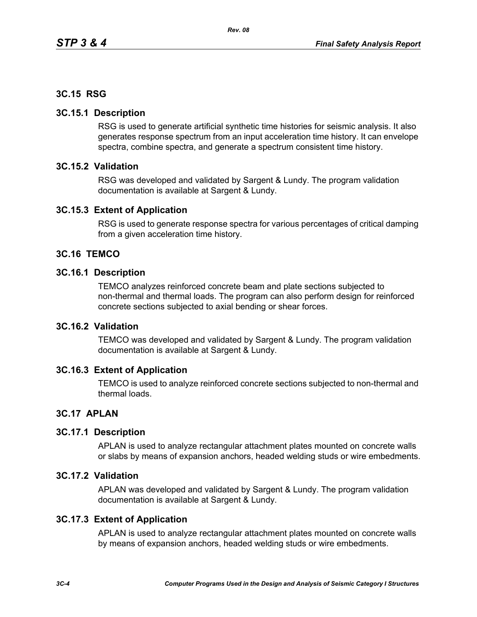### **3C.15 RSG**

#### **3C.15.1 Description**

RSG is used to generate artificial synthetic time histories for seismic analysis. It also generates response spectrum from an input acceleration time history. It can envelope spectra, combine spectra, and generate a spectrum consistent time history.

### **3C.15.2 Validation**

RSG was developed and validated by Sargent & Lundy. The program validation documentation is available at Sargent & Lundy.

### **3C.15.3 Extent of Application**

RSG is used to generate response spectra for various percentages of critical damping from a given acceleration time history.

## **3C.16 TEMCO**

#### **3C.16.1 Description**

TEMCO analyzes reinforced concrete beam and plate sections subjected to non-thermal and thermal loads. The program can also perform design for reinforced concrete sections subjected to axial bending or shear forces.

### **3C.16.2 Validation**

TEMCO was developed and validated by Sargent & Lundy. The program validation documentation is available at Sargent & Lundy.

#### **3C.16.3 Extent of Application**

TEMCO is used to analyze reinforced concrete sections subjected to non-thermal and thermal loads.

## **3C.17 APLAN**

#### **3C.17.1 Description**

APLAN is used to analyze rectangular attachment plates mounted on concrete walls or slabs by means of expansion anchors, headed welding studs or wire embedments.

#### **3C.17.2 Validation**

APLAN was developed and validated by Sargent & Lundy. The program validation documentation is available at Sargent & Lundy.

#### **3C.17.3 Extent of Application**

APLAN is used to analyze rectangular attachment plates mounted on concrete walls by means of expansion anchors, headed welding studs or wire embedments.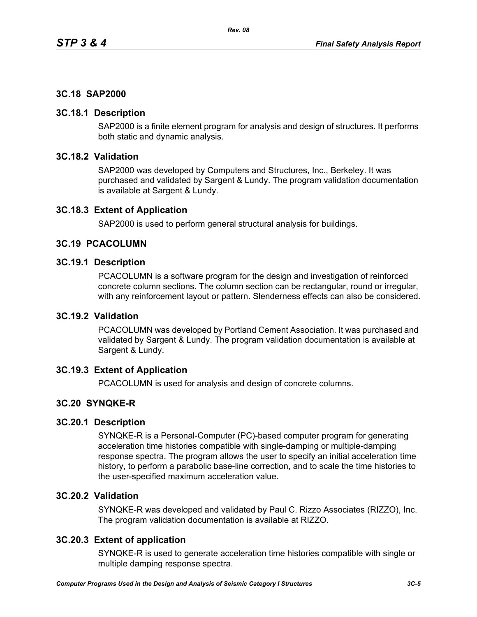# **3C.18 SAP2000**

### **3C.18.1 Description**

SAP2000 is a finite element program for analysis and design of structures. It performs both static and dynamic analysis.

# **3C.18.2 Validation**

SAP2000 was developed by Computers and Structures, Inc., Berkeley. It was purchased and validated by Sargent & Lundy. The program validation documentation is available at Sargent & Lundy.

### **3C.18.3 Extent of Application**

SAP2000 is used to perform general structural analysis for buildings.

### **3C.19 PCACOLUMN**

#### **3C.19.1 Description**

PCACOLUMN is a software program for the design and investigation of reinforced concrete column sections. The column section can be rectangular, round or irregular, with any reinforcement layout or pattern. Slenderness effects can also be considered.

#### **3C.19.2 Validation**

PCACOLUMN was developed by Portland Cement Association. It was purchased and validated by Sargent & Lundy. The program validation documentation is available at Sargent & Lundy.

## **3C.19.3 Extent of Application**

PCACOLUMN is used for analysis and design of concrete columns.

## **3C.20 SYNQKE-R**

## **3C.20.1 Description**

SYNQKE-R is a Personal-Computer (PC)-based computer program for generating acceleration time histories compatible with single-damping or multiple-damping response spectra. The program allows the user to specify an initial acceleration time history, to perform a parabolic base-line correction, and to scale the time histories to the user-specified maximum acceleration value.

## **3C.20.2 Validation**

SYNQKE-R was developed and validated by Paul C. Rizzo Associates (RIZZO), Inc. The program validation documentation is available at RIZZO.

## **3C.20.3 Extent of application**

SYNQKE-R is used to generate acceleration time histories compatible with single or multiple damping response spectra.